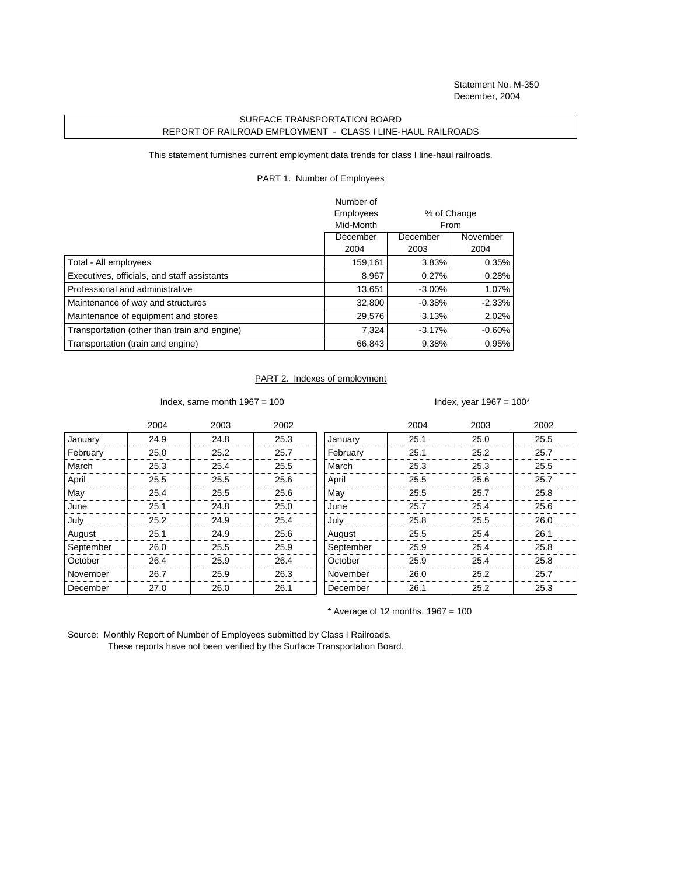## SURFACE TRANSPORTATION BOARD REPORT OF RAILROAD EMPLOYMENT - CLASS I LINE-HAUL RAILROADS

This statement furnishes current employment data trends for class I line-haul railroads.

## PART 1. Number of Employees

|                                              | Number of |             |           |
|----------------------------------------------|-----------|-------------|-----------|
|                                              | Employees | % of Change |           |
|                                              | Mid-Month | From        |           |
|                                              | December  | December    | November  |
|                                              | 2004      | 2003        | 2004      |
| Total - All employees                        | 159,161   | 3.83%       | 0.35%     |
| Executives, officials, and staff assistants  | 8,967     | 0.27%       | 0.28%     |
| Professional and administrative              | 13.651    | $-3.00\%$   | 1.07%     |
| Maintenance of way and structures            | 32,800    | $-0.38%$    | $-2.33\%$ |
| Maintenance of equipment and stores          | 29,576    | 3.13%       | $2.02\%$  |
| Transportation (other than train and engine) | 7.324     | $-3.17%$    | $-0.60\%$ |
| Transportation (train and engine)            | 66,843    | 9.38%       | 0.95%     |

## PART 2. Indexes of employment

Index, same month  $1967 = 100$  Index, year  $1967 = 100^*$ 

|           | 2004 | 2003 | 2002 |           | 2004 | 2003 | 2002 |
|-----------|------|------|------|-----------|------|------|------|
| January   | 24.9 | 24.8 | 25.3 | January   | 25.1 | 25.0 | 25.5 |
| February  | 25.0 | 25.2 | 25.7 | February  | 25.1 | 25.2 | 25.7 |
| March     | 25.3 | 25.4 | 25.5 | March     | 25.3 | 25.3 | 25.5 |
| April     | 25.5 | 25.5 | 25.6 | April     | 25.5 | 25.6 | 25.7 |
| May       | 25.4 | 25.5 | 25.6 | May       | 25.5 | 25.7 | 25.8 |
| June      | 25.1 | 24.8 | 25.0 | June      | 25.7 | 25.4 | 25.6 |
| July      | 25.2 | 24.9 | 25.4 | July      | 25.8 | 25.5 | 26.0 |
| August    | 25.1 | 24.9 | 25.6 | August    | 25.5 | 25.4 | 26.1 |
| September | 26.0 | 25.5 | 25.9 | September | 25.9 | 25.4 | 25.8 |
| October   | 26.4 | 25.9 | 26.4 | October   | 25.9 | 25.4 | 25.8 |
| November  | 26.7 | 25.9 | 26.3 | November  | 26.0 | 25.2 | 25.7 |
| December  | 27.0 | 26.0 | 26.1 | December  | 26.1 | 25.2 | 25.3 |

 $*$  Average of 12 months, 1967 = 100

Source: Monthly Report of Number of Employees submitted by Class I Railroads. These reports have not been verified by the Surface Transportation Board.